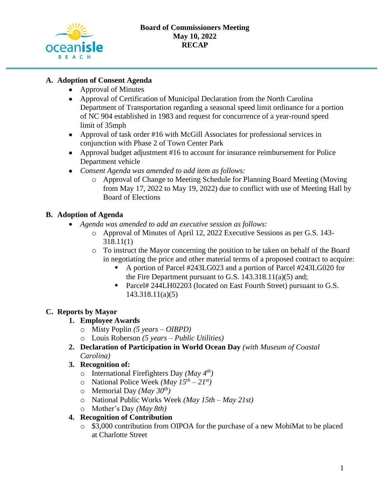

## **A. Adoption of Consent Agenda**

- Approval of Minutes
- Approval of Certification of Municipal Declaration from the North Carolina Department of Transportation regarding a seasonal speed limit ordinance for a portion of NC 904 established in 1983 and request for concurrence of a year-round speed limit of 35mph
- Approval of task order #16 with McGill Associates for professional services in conjunction with Phase 2 of Town Center Park
- Approval budget adjustment #16 to account for insurance reimbursement for Police Department vehicle
- *Consent Agenda was amended to add item as follows:*
	- o Approval of Change to Meeting Schedule for Planning Board Meeting (Moving from May 17, 2022 to May 19, 2022) due to conflict with use of Meeting Hall by Board of Elections

### **B. Adoption of Agenda**

- *Agenda was amended to add an executive session as follows:*
	- o Approval of Minutes of April 12, 2022 Executive Sessions as per G.S. 143- 318.11(1)
	- o To instruct the Mayor concerning the position to be taken on behalf of the Board in negotiating the price and other material terms of a proposed contract to acquire:
		- A portion of Parcel #243LG023 and a portion of Parcel #243LG020 for the Fire Department pursuant to G.S.  $143.318.11(a)(5)$  and;
		- Parcel# 244LH02203 (located on East Fourth Street) pursuant to G.S. 143.318.11(a)(5)

# **C. Reports by Mayor**

- **1. Employee Awards**
	- o Misty Poplin *(5 years – OIBPD)*
	- o Louis Roberson *(5 years – Public Utilities)*
- **2. Declaration of Participation in World Ocean Day** *(with Museum of Coastal Carolina)*
- **3. Recognition of:**
	- o International Firefighters Day *(May 4th)*
	- o National Police Week *(May 15th – 21st)*
	- o Memorial Day *(May 30th)*
	- o National Public Works Week *(May 15th – May 21st)*
	- o Mother's Day *(May 8th)*
- **4. Recognition of Contribution**
	- o \$3,000 contribution from OIPOA for the purchase of a new MobiMat to be placed at Charlotte Street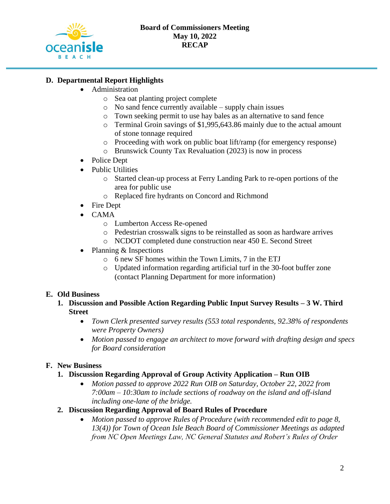

## **D. Departmental Report Highlights**

- Administration
	- o Sea oat planting project complete
	- o No sand fence currently available supply chain issues
	- o Town seeking permit to use hay bales as an alternative to sand fence
	- o Terminal Groin savings of \$1,995,643.86 mainly due to the actual amount of stone tonnage required
	- o Proceeding with work on public boat lift/ramp (for emergency response)
	- o Brunswick County Tax Revaluation (2023) is now in process
- Police Dept
- Public Utilities
	- o Started clean-up process at Ferry Landing Park to re-open portions of the area for public use
	- o Replaced fire hydrants on Concord and Richmond
- Fire Dept
- CAMA
	- o Lumberton Access Re-opened
	- o Pedestrian crosswalk signs to be reinstalled as soon as hardware arrives
	- o NCDOT completed dune construction near 450 E. Second Street
- Planning & Inspections
	- o 6 new SF homes within the Town Limits, 7 in the ETJ
	- o Updated information regarding artificial turf in the 30-foot buffer zone (contact Planning Department for more information)

#### **E. Old Business**

- **1. Discussion and Possible Action Regarding Public Input Survey Results – 3 W. Third Street**
	- *Town Clerk presented survey results (553 total respondents, 92.38% of respondents were Property Owners)*
	- *Motion passed to engage an architect to move forward with drafting design and specs for Board consideration*

# **F. New Business**

- **1. Discussion Regarding Approval of Group Activity Application – Run OIB**
	- *Motion passed to approve 2022 Run OIB on Saturday, October 22, 2022 from 7:00am – 10:30am to include sections of roadway on the island and off-island including one-lane of the bridge.*
- **2. Discussion Regarding Approval of Board Rules of Procedure**
	- *Motion passed to approve Rules of Procedure (with recommended edit to page 8, 13(4)) for Town of Ocean Isle Beach Board of Commissioner Meetings as adapted from NC Open Meetings Law, NC General Statutes and Robert's Rules of Order*